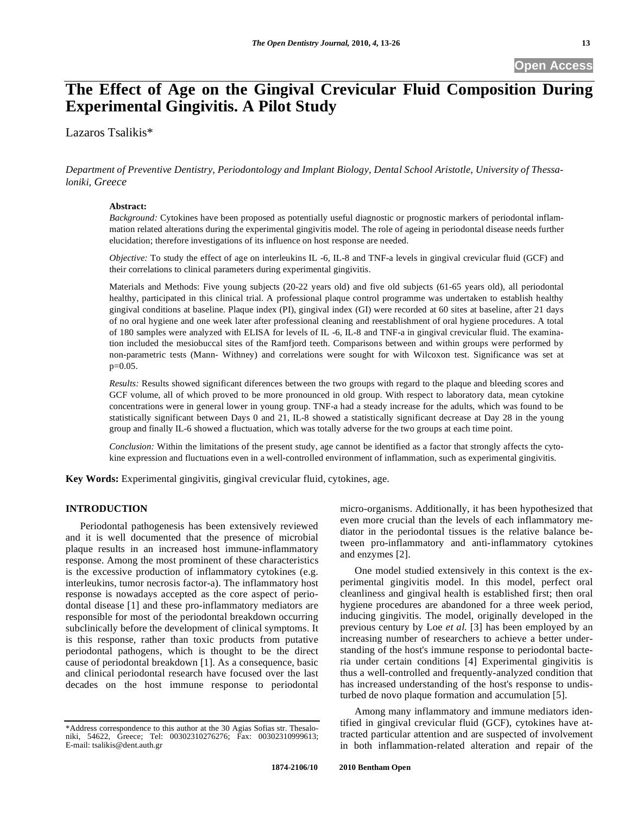# **The Effect of Age on the Gingival Crevicular Fluid Composition During Experimental Gingivitis. A Pilot Study**

Lazaros Tsalikis\*

*Department of Preventive Dentistry, Periodontology and Implant Biology, Dental School Aristotle, University of Thessaloniki, Greece* 

## **Abstract:**

*Background:* Cytokines have been proposed as potentially useful diagnostic or prognostic markers of periodontal inflammation related alterations during the experimental gingivitis model. The role of ageing in periodontal disease needs further elucidation; therefore investigations of its influence on host response are needed.

*Objective:* To study the effect of age on interleukins IL -6, IL-8 and TNF-a levels in gingival crevicular fluid (GCF) and their correlations to clinical parameters during experimental gingivitis.

Materials and Methods: Five young subjects (20-22 years old) and five old subjects (61-65 years old), all periodontal healthy, participated in this clinical trial. A professional plaque control programme was undertaken to establish healthy gingival conditions at baseline. Plaque index (PI), gingival index (GI) were recorded at 60 sites at baseline, after 21 days of no oral hygiene and one week later after professional cleaning and reestablishment of oral hygiene procedures. A total of 180 samples were analyzed with ELISA for levels of IL -6, IL-8 and TNF-a in gingival crevicular fluid. The examination included the mesiobuccal sites of the Ramfjord teeth. Comparisons between and within groups were performed by non-parametric tests (Mann- Withney) and correlations were sought for with Wilcoxon test. Significance was set at p=0.05.

*Results:* Results showed significant diferences between the two groups with regard to the plaque and bleeding scores and GCF volume, all of which proved to be more pronounced in old group. With respect to laboratory data, mean cytokine concentrations were in general lower in young group. TNF-a had a steady increase for the adults, which was found to be statistically significant between Days 0 and 21, IL-8 showed a statistically significant decrease at Day 28 in the young group and finally IL-6 showed a fluctuation, which was totally adverse for the two groups at each time point.

*Conclusion:* Within the limitations of the present study, age cannot be identified as a factor that strongly affects the cytokine expression and fluctuations even in a well-controlled environment of inflammation, such as experimental gingivitis.

**Key Words:** Experimental gingivitis, gingival crevicular fluid, cytokines, age.

## **INTRODUCTION**

Periodontal pathogenesis has been extensively reviewed and it is well documented that the presence of microbial plaque results in an increased host immune-inflammatory response. Among the most prominent of these characteristics is the excessive production of inflammatory cytokines (e.g. interleukins, tumor necrosis factor-a). The inflammatory host response is nowadays accepted as the core aspect of periodontal disease [1] and these pro-inflammatory mediators are responsible for most of the periodontal breakdown occurring subclinically before the development of clinical symptoms. It is this response, rather than toxic products from putative periodontal pathogens, which is thought to be the direct cause of periodontal breakdown [1]. As a consequence, basic and clinical periodontal research have focused over the last decades on the host immune response to periodontal

micro-organisms. Additionally, it has been hypothesized that even more crucial than the levels of each inflammatory mediator in the periodontal tissues is the relative balance between pro-inflammatory and anti-inflammatory cytokines and enzymes [2].

One model studied extensively in this context is the experimental gingivitis model. In this model, perfect oral cleanliness and gingival health is established first; then oral hygiene procedures are abandoned for a three week period, inducing gingivitis. The model, originally developed in the previous century by Loe *et al.* [3] has been employed by an increasing number of researchers to achieve a better understanding of the host's immune response to periodontal bacteria under certain conditions [4] Experimental gingivitis is thus a well-controlled and frequently-analyzed condition that has increased understanding of the host's response to undisturbed de novo plaque formation and accumulation [5].

Among many inflammatory and immune mediators identified in gingival crevicular fluid (GCF), cytokines have attracted particular attention and are suspected of involvement in both inflammation-related alteration and repair of the

<sup>\*</sup>Address correspondence to this author at the 30 Agias Sofias str. Thesalo-niki, 54622, Greece; Tel: 00302310276276; Fax: 00302310999613; E-mail: tsalikis@dent.auth.gr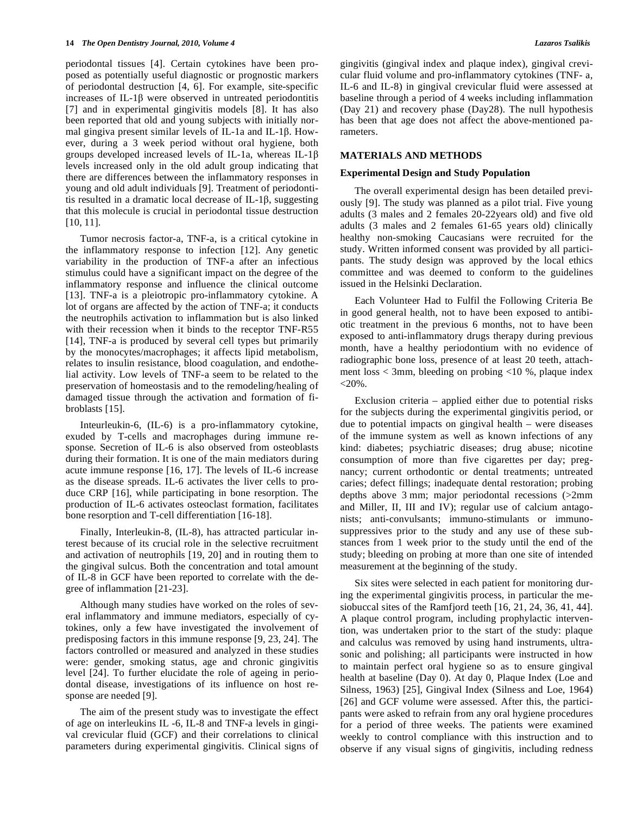#### **14** *The Open Dentistry Journal, 2010, Volume 4 Lazaros Tsalikis*

periodontal tissues [4]. Certain cytokines have been proposed as potentially useful diagnostic or prognostic markers of periodontal destruction [4, 6]. For example, site-specific increases of IL-1 $\beta$  were observed in untreated periodontitis [7] and in experimental gingivitis models [8]. It has also been reported that old and young subjects with initially normal gingiva present similar levels of IL-1a and IL-1 $\beta$ . However, during a 3 week period without oral hygiene, both groups developed increased levels of IL-1a, whereas IL-1 levels increased only in the old adult group indicating that there are differences between the inflammatory responses in young and old adult individuals [9]. Treatment of periodontitis resulted in a dramatic local decrease of IL-1 $\beta$ , suggesting that this molecule is crucial in periodontal tissue destruction [10, 11].

Tumor necrosis factor-a, TNF-a, is a critical cytokine in the inflammatory response to infection [12]. Any genetic variability in the production of TNF-a after an infectious stimulus could have a significant impact on the degree of the inflammatory response and influence the clinical outcome [13]. TNF-a is a pleiotropic pro-inflammatory cytokine. A lot of organs are affected by the action of TNF-a; it conducts the neutrophils activation to inflammation but is also linked with their recession when it binds to the receptor TNF-R55 [14], TNF-a is produced by several cell types but primarily by the monocytes/macrophages; it affects lipid metabolism, relates to insulin resistance, blood coagulation, and endothelial activity. Low levels of TNF-a seem to be related to the preservation of homeostasis and to the remodeling/healing of damaged tissue through the activation and formation of fibroblasts [15].

Inteurleukin-6, (IL-6) is a pro-inflammatory cytokine, exuded by T-cells and macrophages during immune response. Secretion of IL-6 is also observed from osteoblasts during their formation. It is one of the main mediators during acute immune response [16, 17]. The levels of IL-6 increase as the disease spreads. IL-6 activates the liver cells to produce CRP [16], while participating in bone resorption. The production of IL-6 activates osteoclast formation, facilitates bone resorption and T-cell differentiation [16-18].

Finally, Interleukin-8, (IL-8), has attracted particular interest because of its crucial role in the selective recruitment and activation of neutrophils [19, 20] and in routing them to the gingival sulcus. Both the concentration and total amount of IL-8 in GCF have been reported to correlate with the degree of inflammation [21-23].

Although many studies have worked on the roles of several inflammatory and immune mediators, especially of cytokines, only a few have investigated the involvement of predisposing factors in this immune response [9, 23, 24]. The factors controlled or measured and analyzed in these studies were: gender, smoking status, age and chronic gingivitis level [24]. To further elucidate the role of ageing in periodontal disease, investigations of its influence on host response are needed [9].

The aim of the present study was to investigate the effect of age on interleukins IL -6, IL-8 and TNF-a levels in gingival crevicular fluid (GCF) and their correlations to clinical parameters during experimental gingivitis. Clinical signs of gingivitis (gingival index and plaque index), gingival crevicular fluid volume and pro-inflammatory cytokines (TNF- a, IL-6 and IL-8) in gingival crevicular fluid were assessed at baseline through a period of 4 weeks including inflammation (Day 21) and recovery phase (Day28). The null hypothesis has been that age does not affect the above-mentioned parameters.

## **MATERIALS AND METHODS**

## **Experimental Design and Study Population**

The overall experimental design has been detailed previously [9]. The study was planned as a pilot trial. Five young adults (3 males and 2 females 20-22years old) and five old adults (3 males and 2 females 61-65 years old) clinically healthy non-smoking Caucasians were recruited for the study. Written informed consent was provided by all participants. The study design was approved by the local ethics committee and was deemed to conform to the guidelines issued in the Helsinki Declaration.

Each Volunteer Had to Fulfil the Following Criteria Be in good general health, not to have been exposed to antibiotic treatment in the previous 6 months, not to have been exposed to anti-inflammatory drugs therapy during previous month, have a healthy periodontium with no evidence of radiographic bone loss, presence of at least 20 teeth, attachment loss < 3mm, bleeding on probing <10 %, plaque index  $< 20\%$ .

Exclusion criteria – applied either due to potential risks for the subjects during the experimental gingivitis period, or due to potential impacts on gingival health – were diseases of the immune system as well as known infections of any kind: diabetes; psychiatric diseases; drug abuse; nicotine consumption of more than five cigarettes per day; pregnancy; current orthodontic or dental treatments; untreated caries; defect fillings; inadequate dental restoration; probing depths above 3 mm; major periodontal recessions (>2mm and Miller, II, III and IV); regular use of calcium antagonists; anti-convulsants; immuno-stimulants or immunosuppressives prior to the study and any use of these substances from 1 week prior to the study until the end of the study; bleeding on probing at more than one site of intended measurement at the beginning of the study.

Six sites were selected in each patient for monitoring during the experimental gingivitis process, in particular the mesiobuccal sites of the Ramfjord teeth [16, 21, 24, 36, 41, 44]. A plaque control program, including prophylactic intervention, was undertaken prior to the start of the study: plaque and calculus was removed by using hand instruments, ultrasonic and polishing; all participants were instructed in how to maintain perfect oral hygiene so as to ensure gingival health at baseline (Day 0). At day 0, Plaque Index (Loe and Silness, 1963) [25], Gingival Index (Silness and Loe, 1964) [26] and GCF volume were assessed. After this, the participants were asked to refrain from any oral hygiene procedures for a period of three weeks. The patients were examined weekly to control compliance with this instruction and to observe if any visual signs of gingivitis, including redness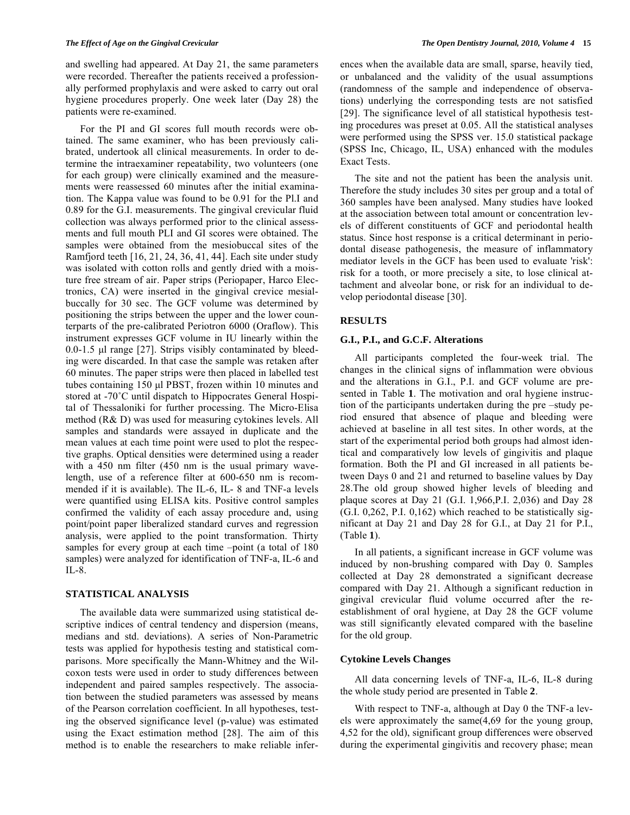and swelling had appeared. At Day 21, the same parameters were recorded. Thereafter the patients received a professionally performed prophylaxis and were asked to carry out oral hygiene procedures properly. One week later (Day 28) the patients were re-examined.

For the PI and GI scores full mouth records were obtained. The same examiner, who has been previously calibrated, undertook all clinical measurements. In order to determine the intraexaminer repeatability, two volunteers (one for each group) were clinically examined and the measurements were reassessed 60 minutes after the initial examination. The Kappa value was found to be 0.91 for the Pl.I and 0.89 for the G.I. measurements. The gingival crevicular fluid collection was always performed prior to the clinical assessments and full mouth PLI and GI scores were obtained. The samples were obtained from the mesiobuccal sites of the Ramfjord teeth [16, 21, 24, 36, 41, 44]. Each site under study was isolated with cotton rolls and gently dried with a moisture free stream of air. Paper strips (Periopaper, Harco Electronics, CA) were inserted in the gingival crevice mesialbuccally for 30 sec. The GCF volume was determined by positioning the strips between the upper and the lower counterparts of the pre-calibrated Periotron 6000 (Oraflow). This instrument expresses GCF volume in IU linearly within the 0.0-1.5 μl range [27]. Strips visibly contaminated by bleeding were discarded. In that case the sample was retaken after 60 minutes. The paper strips were then placed in labelled test tubes containing 150 μl PBST, frozen within 10 minutes and stored at -70˚C until dispatch to Hippocrates General Hospital of Thessaloniki for further processing. The Micro-Elisa method (R& D) was used for measuring cytokines levels. All samples and standards were assayed in duplicate and the mean values at each time point were used to plot the respective graphs. Optical densities were determined using a reader with a 450 nm filter (450 nm is the usual primary wavelength, use of a reference filter at 600-650 nm is recommended if it is available). The IL-6, IL- 8 and TNF-a levels were quantified using ELISA kits. Positive control samples confirmed the validity of each assay procedure and, using point/point paper liberalized standard curves and regression analysis, were applied to the point transformation. Thirty samples for every group at each time –point (a total of 180) samples) were analyzed for identification of TNF-a, IL-6 and  $IL-8.$ 

#### **STATISTICAL ANALYSIS**

The available data were summarized using statistical descriptive indices of central tendency and dispersion (means, medians and std. deviations). A series of Non-Parametric tests was applied for hypothesis testing and statistical comparisons. More specifically the Mann-Whitney and the Wilcoxon tests were used in order to study differences between independent and paired samples respectively. The association between the studied parameters was assessed by means of the Pearson correlation coefficient. In all hypotheses, testing the observed significance level (p-value) was estimated using the Exact estimation method [28]. The aim of this method is to enable the researchers to make reliable inferences when the available data are small, sparse, heavily tied, or unbalanced and the validity of the usual assumptions (randomness of the sample and independence of observations) underlying the corresponding tests are not satisfied [29]. The significance level of all statistical hypothesis testing procedures was preset at 0.05. All the statistical analyses were performed using the SPSS ver. 15.0 statistical package (SPSS Inc, Chicago, IL, USA) enhanced with the modules Exact Tests.

The site and not the patient has been the analysis unit. Therefore the study includes 30 sites per group and a total of 360 samples have been analysed. Many studies have looked at the association between total amount or concentration levels of different constituents of GCF and periodontal health status. Since host response is a critical determinant in periodontal disease pathogenesis, the measure of inflammatory mediator levels in the GCF has been used to evaluate 'risk': risk for a tooth, or more precisely a site, to lose clinical attachment and alveolar bone, or risk for an individual to develop periodontal disease [30].

## **RESULTS**

## **G.I., P.I., and G.C.F. Alterations**

All participants completed the four-week trial. The changes in the clinical signs of inflammation were obvious and the alterations in G.I., P.I. and GCF volume are presented in Table **1**. The motivation and oral hygiene instruction of the participants undertaken during the pre –study period ensured that absence of plaque and bleeding were achieved at baseline in all test sites. In other words, at the start of the experimental period both groups had almost identical and comparatively low levels of gingivitis and plaque formation. Both the PI and GI increased in all patients between Days 0 and 21 and returned to baseline values by Day 28.The old group showed higher levels of bleeding and plaque scores at Day 21 (G.I. 1,966,P.I. 2,036) and Day 28 (G.I. 0,262, P.I. 0,162) which reached to be statistically significant at Day 21 and Day 28 for G.I., at Day 21 for P.I., (Table **1**).

In all patients, a significant increase in GCF volume was induced by non-brushing compared with Day 0. Samples collected at Day 28 demonstrated a significant decrease compared with Day 21. Although a significant reduction in gingival crevicular fluid volume occurred after the reestablishment of oral hygiene, at Day 28 the GCF volume was still significantly elevated compared with the baseline for the old group.

# **Cytokine Levels Changes**

All data concerning levels of TNF-a, IL-6, IL-8 during the whole study period are presented in Table **2**.

With respect to TNF-a, although at Day 0 the TNF-a levels were approximately the same(4,69 for the young group, 4,52 for the old), significant group differences were observed during the experimental gingivitis and recovery phase; mean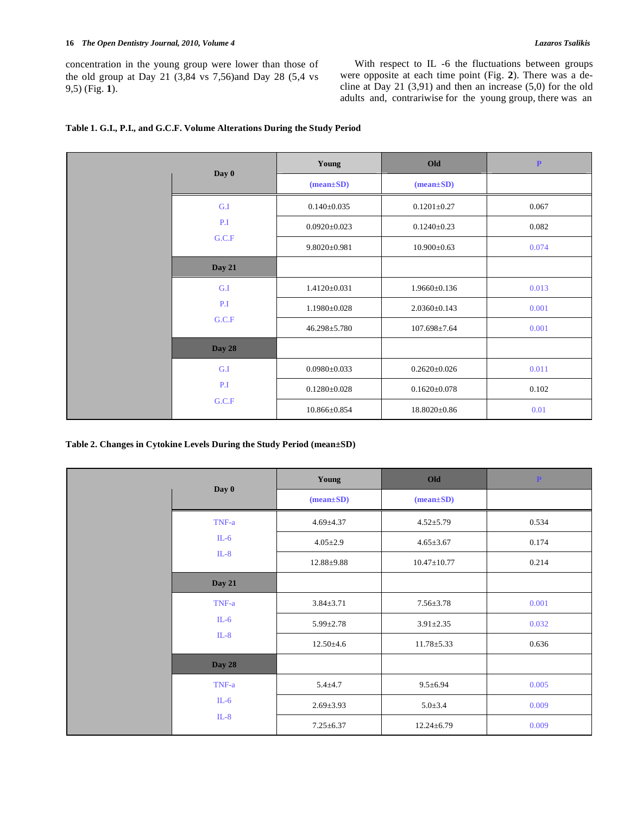concentration in the young group were lower than those of the old group at Day 21 (3,84 vs 7,56)and Day 28 (5,4 vs 9,5) (Fig. **1**).

With respect to IL -6 the fluctuations between groups were opposite at each time point (Fig. **2**). There was a decline at Day 21  $(3,91)$  and then an increase  $(5,0)$  for the old adults and, contrariwise for the young group, there was an

|  |               | Young              | Old                | $\mathbf P$ |
|--|---------------|--------------------|--------------------|-------------|
|  | Day 0         | $(mean \pm SD)$    | $(mean \pm SD)$    |             |
|  | G.I           | $0.140 \pm 0.035$  | $0.1201 \pm 0.27$  | 0.067       |
|  | P.I           | $0.0920 \pm 0.023$ | $0.1240 \pm 0.23$  | 0.082       |
|  | G.C.F         | $9.8020 \pm 0.981$ | $10.900 \pm 0.63$  | 0.074       |
|  | <b>Day 21</b> |                    |                    |             |
|  | G.I           | $1.4120 \pm 0.031$ | $1.9660 \pm 0.136$ | 0.013       |
|  | P.I           | 1.1980±0.028       | $2.0360 \pm 0.143$ | 0.001       |
|  | G.C.F         | 46.298±5.780       | $107.698 \pm 7.64$ | 0.001       |
|  | <b>Day 28</b> |                    |                    |             |
|  | G.I           | $0.0980 \pm 0.033$ | $0.2620 \pm 0.026$ | 0.011       |
|  | P.I           | $0.1280 \pm 0.028$ | $0.1620 \pm 0.078$ | 0.102       |
|  | G.C.F         | 10.866±0.854       | 18.8020±0.86       | 0.01        |

# **Table 1. G.I., P.I., and G.C.F. Volume Alterations During the Study Period**

**Table 2. Changes in Cytokine Levels During the Study Period (mean±SD)** 

|  | Day 0         | Young           | Old               | $\mathbf{P}^-$ |
|--|---------------|-----------------|-------------------|----------------|
|  |               | $(mean \pm SD)$ | $(mean \pm SD)$   |                |
|  | TNF-a         | $4.69 \pm 4.37$ | $4.52 \pm 5.79$   | 0.534          |
|  | $IL-6$        | $4.05 \pm 2.9$  | $4.65 \pm 3.67$   | 0.174          |
|  | $IL-8$        | 12.88±9.88      | $10.47 \pm 10.77$ | 0.214          |
|  | <b>Day 21</b> |                 |                   |                |
|  | TNF-a         | $3.84 \pm 3.71$ | $7.56 \pm 3.78$   | 0.001          |
|  | $IL-6$        | $5.99 \pm 2.78$ | $3.91 \pm 2.35$   | 0.032          |
|  | $IL-8$        | $12.50 \pm 4.6$ | $11.78 \pm 5.33$  | 0.636          |
|  | <b>Day 28</b> |                 |                   |                |
|  | TNF-a         | $5.4 + 4.7$     | $9.5 \pm 6.94$    | 0.005          |
|  | $IL-6$        | $2.69 \pm 3.93$ | $5.0 \pm 3.4$     | 0.009          |
|  | $IL-8$        | $7.25 \pm 6.37$ | $12.24 \pm 6.79$  | 0.009          |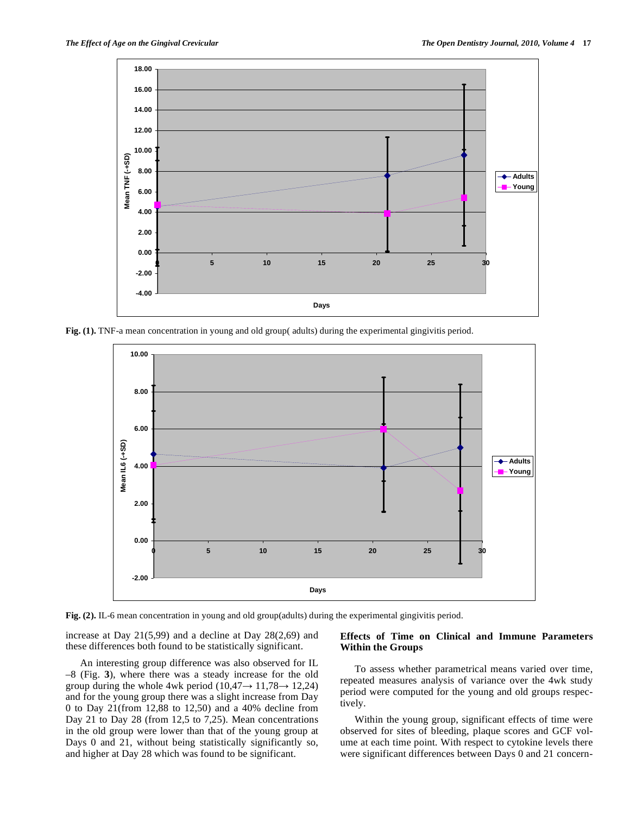

**Fig. (1).** TNF-a mean concentration in young and old group( adults) during the experimental gingivitis period.



**Fig. (2).** IL-6 mean concentration in young and old group(adults) during the experimental gingivitis period.

increase at Day 21(5,99) and a decline at Day 28(2,69) and these differences both found to be statistically significant.

## An interesting group difference was also observed for IL –8 (Fig. **3**), where there was a steady increase for the old group during the whole 4wk period  $(10,47 \rightarrow 11,78 \rightarrow 12,24)$ and for the young group there was a slight increase from Day 0 to Day 21(from 12,88 to 12,50) and a 40% decline from Day 21 to Day 28 (from 12,5 to 7,25). Mean concentrations in the old group were lower than that of the young group at Days 0 and 21, without being statistically significantly so, and higher at Day 28 which was found to be significant.

## **Effects of Time on Clinical and Immune Parameters Within the Groups**

To assess whether parametrical means varied over time, repeated measures analysis of variance over the 4wk study period were computed for the young and old groups respectively.

Within the young group, significant effects of time were observed for sites of bleeding, plaque scores and GCF volume at each time point. With respect to cytokine levels there were significant differences between Days 0 and 21 concern-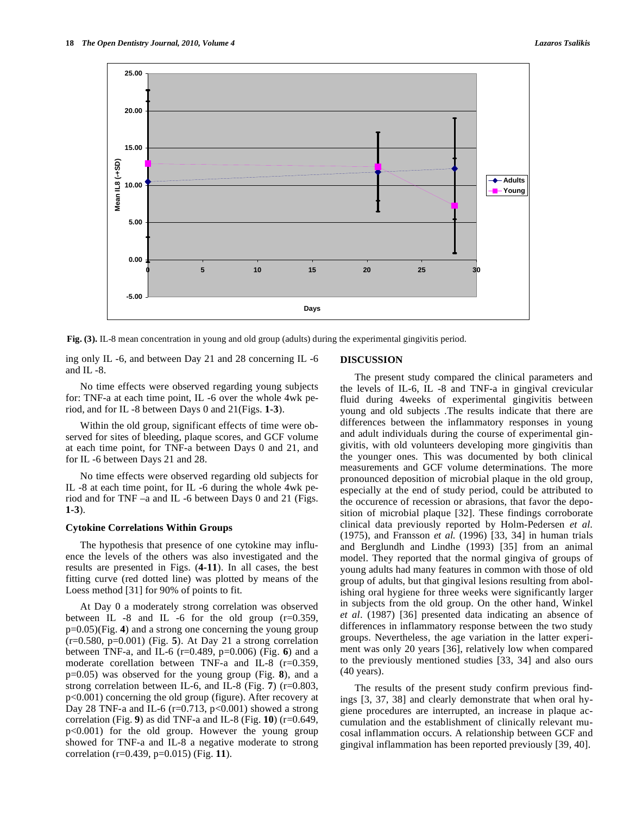

**Fig. (3).** IL-8 mean concentration in young and old group (adults) during the experimental gingivitis period.

ing only IL -6, and between Day 21 and 28 concerning IL -6 and IL -8.

No time effects were observed regarding young subjects for: TNF-a at each time point, IL -6 over the whole 4wk period, and for IL -8 between Days 0 and 21(Figs. **1-3**).

Within the old group, significant effects of time were observed for sites of bleeding, plaque scores, and GCF volume at each time point, for TNF-a between Days 0 and 21, and for IL -6 between Days 21 and 28.

No time effects were observed regarding old subjects for IL -8 at each time point, for IL -6 during the whole 4wk period and for TNF –a and IL -6 between Days 0 and 21 (Figs. **1-3**).

## **Cytokine Correlations Within Groups**

The hypothesis that presence of one cytokine may influence the levels of the others was also investigated and the results are presented in Figs. (**4-11**). In all cases, the best fitting curve (red dotted line) was plotted by means of the Loess method [31] for 90% of points to fit.

At Day 0 a moderately strong correlation was observed between IL  $-8$  and IL  $-6$  for the old group (r=0.359, p=0.05)(Fig. **4**) and a strong one concerning the young group (r=0.580, p=0.001) (Fig. **5**). At Day 21 a strong correlation between TNF-a, and IL-6 (r=0.489, p=0.006) (Fig. **6**) and a moderate corellation between TNF-a and IL-8 (r=0.359, p=0.05) was observed for the young group (Fig. **8**), and a strong correlation between IL-6, and IL-8 (Fig. **7**) (r=0.803, p<0.001) concerning the old group (figure). After recovery at Day 28 TNF-a and IL-6 ( $r=0.713$ ,  $p<0.001$ ) showed a strong correlation (Fig. **9**) as did TNF-a and IL-8 (Fig. **10**) (r=0.649, p<0.001) for the old group. However the young group showed for TNF-a and IL-8 a negative moderate to strong correlation (r=0.439, p=0.015) (Fig. **11**).

#### **DISCUSSION**

The present study compared the clinical parameters and the levels of IL-6, IL -8 and TNF-a in gingival crevicular fluid during 4weeks of experimental gingivitis between young and old subjects .The results indicate that there are differences between the inflammatory responses in young and adult individuals during the course of experimental gingivitis, with old volunteers developing more gingivitis than the younger ones. This was documented by both clinical measurements and GCF volume determinations. The more pronounced deposition of microbial plaque in the old group, especially at the end of study period, could be attributed to the occurence of recession or abrasions, that favor the deposition of microbial plaque [32]. These findings corroborate clinical data previously reported by Holm-Pedersen *et al.*  (1975), and Fransson *et al.* (1996) [33, 34] in human trials and Berglundh and Lindhe (1993) [35] from an animal model. They reported that the normal gingiva of groups of young adults had many features in common with those of old group of adults, but that gingival lesions resulting from abolishing oral hygiene for three weeks were significantly larger in subjects from the old group. On the other hand, Winkel *et al*. (1987) [36] presented data indicating an absence of differences in inflammatory response between the two study groups. Nevertheless, the age variation in the latter experiment was only 20 years [36], relatively low when compared to the previously mentioned studies [33, 34] and also ours (40 years).

The results of the present study confirm previous findings [3, 37, 38] and clearly demonstrate that when oral hygiene procedures are interrupted, an increase in plaque accumulation and the establishment of clinically relevant mucosal inflammation occurs. A relationship between GCF and gingival inflammation has been reported previously [39, 40].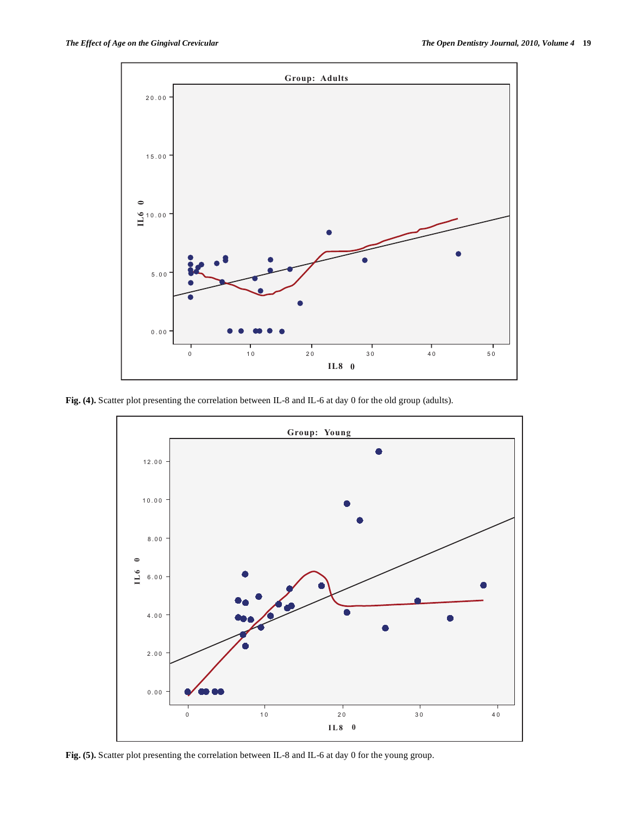

**Fig. (4).** Scatter plot presenting the correlation between IL-8 and IL-6 at day 0 for the old group (adults).



Fig. (5). Scatter plot presenting the correlation between IL-8 and IL-6 at day 0 for the young group.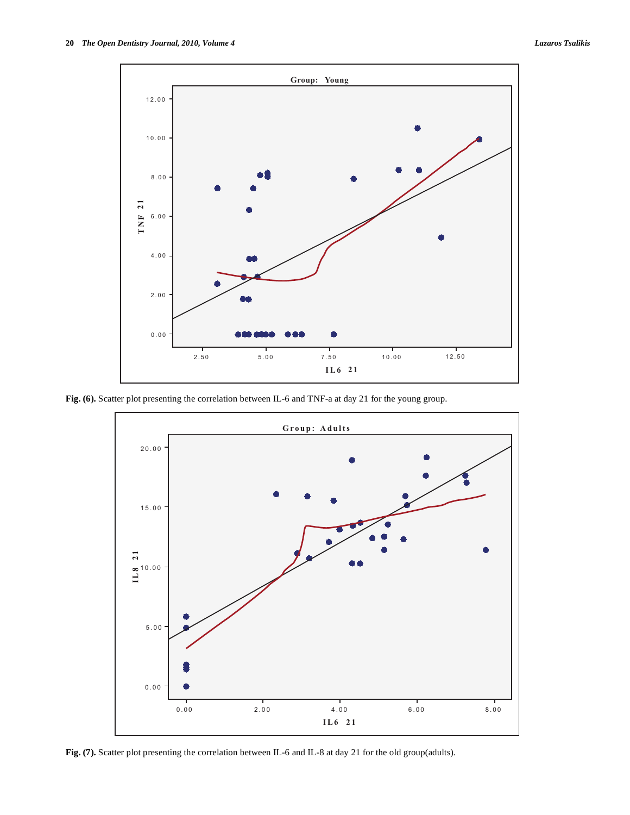

Fig. (6). Scatter plot presenting the correlation between IL-6 and TNF-a at day 21 for the young group.



**Fig. (7).** Scatter plot presenting the correlation between IL-6 and IL-8 at day 21 for the old group(adults).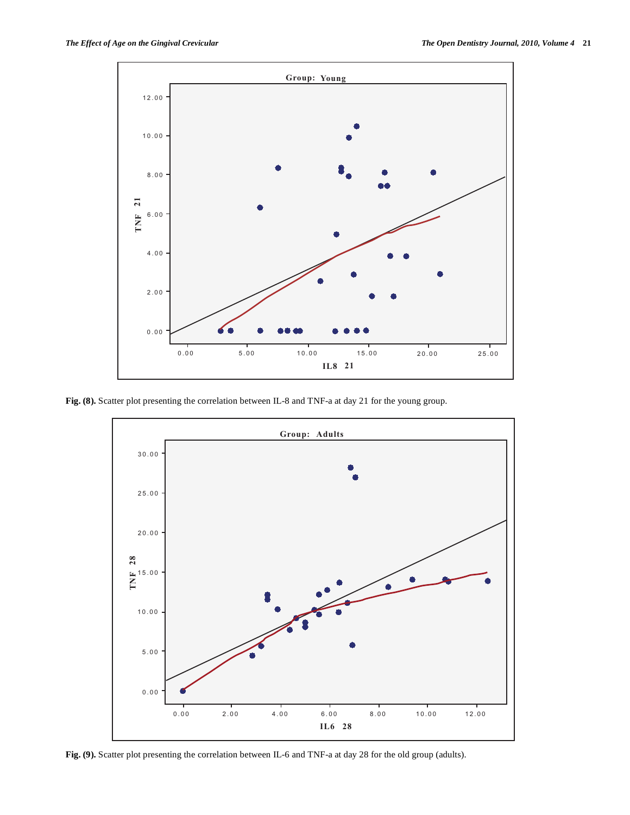

**Fig. (8).** Scatter plot presenting the correlation between IL-8 and TNF-a at day 21 for the young group.



**Fig. (9).** Scatter plot presenting the correlation between IL-6 and TNF-a at day 28 for the old group (adults).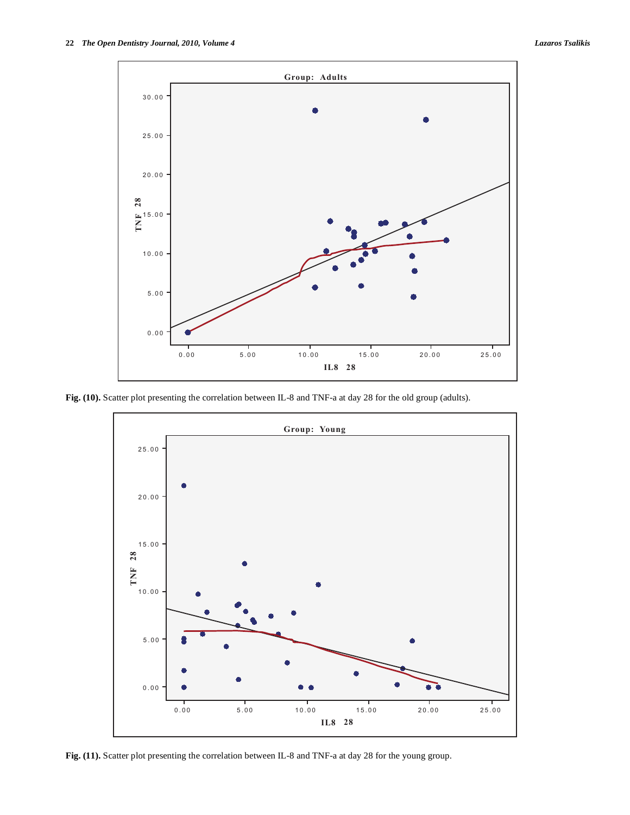

Fig. (10). Scatter plot presenting the correlation between IL-8 and TNF-a at day 28 for the old group (adults).



Fig. (11). Scatter plot presenting the correlation between IL-8 and TNF-a at day 28 for the young group.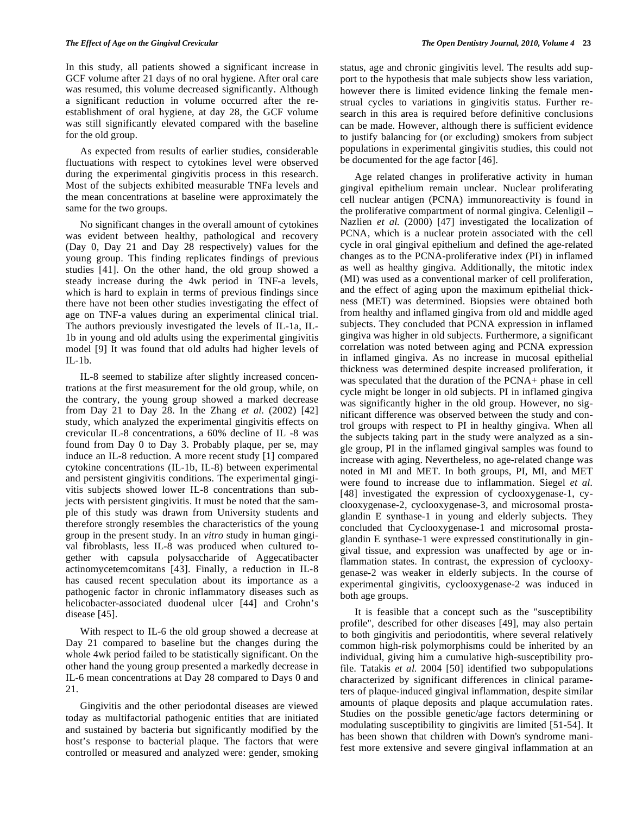In this study, all patients showed a significant increase in GCF volume after 21 days of no oral hygiene. After oral care was resumed, this volume decreased significantly. Although a significant reduction in volume occurred after the reestablishment of oral hygiene, at day 28, the GCF volume was still significantly elevated compared with the baseline for the old group.

As expected from results of earlier studies, considerable fluctuations with respect to cytokines level were observed during the experimental gingivitis process in this research. Most of the subjects exhibited measurable TNFa levels and the mean concentrations at baseline were approximately the same for the two groups.

No significant changes in the overall amount of cytokines was evident between healthy, pathological and recovery (Day 0, Day 21 and Day 28 respectively) values for the young group. This finding replicates findings of previous studies [41]. On the other hand, the old group showed a steady increase during the 4wk period in TNF-a levels, which is hard to explain in terms of previous findings since there have not been other studies investigating the effect of age on TNF-a values during an experimental clinical trial. The authors previously investigated the levels of IL-1a, IL-1b in young and old adults using the experimental gingivitis model [9] It was found that old adults had higher levels of  $IL-1b$ .

IL-8 seemed to stabilize after slightly increased concentrations at the first measurement for the old group, while, on the contrary, the young group showed a marked decrease from Day 21 to Day 28. In the Zhang *et al.* (2002) [42] study, which analyzed the experimental gingivitis effects on crevicular IL-8 concentrations, a 60% decline of IL -8 was found from Day 0 to Day 3. Probably plaque, per se, may induce an IL-8 reduction. A more recent study [1] compared cytokine concentrations (IL-1b, IL-8) between experimental and persistent gingivitis conditions. The experimental gingivitis subjects showed lower IL-8 concentrations than subjects with persistent gingivitis. It must be noted that the sample of this study was drawn from University students and therefore strongly resembles the characteristics of the young group in the present study. In an *vitro* study in human gingival fibroblasts, less IL-8 was produced when cultured together with capsula polysaccharide of Aggecatibacter actinomycetemcomitans [43]. Finally, a reduction in IL-8 has caused recent speculation about its importance as a pathogenic factor in chronic inflammatory diseases such as helicobacter-associated duodenal ulcer [44] and Crohn's disease [45].

With respect to IL-6 the old group showed a decrease at Day 21 compared to baseline but the changes during the whole 4wk period failed to be statistically significant. On the other hand the young group presented a markedly decrease in IL-6 mean concentrations at Day 28 compared to Days 0 and 21.

Gingivitis and the other periodontal diseases are viewed today as multifactorial pathogenic entities that are initiated and sustained by bacteria but significantly modified by the host's response to bacterial plaque. The factors that were controlled or measured and analyzed were: gender, smoking status, age and chronic gingivitis level. The results add support to the hypothesis that male subjects show less variation, however there is limited evidence linking the female menstrual cycles to variations in gingivitis status. Further research in this area is required before definitive conclusions can be made. However, although there is sufficient evidence to justify balancing for (or excluding) smokers from subject populations in experimental gingivitis studies, this could not be documented for the age factor [46].

Age related changes in proliferative activity in human gingival epithelium remain unclear. Nuclear proliferating cell nuclear antigen (PCNA) immunoreactivity is found in the proliferative compartment of normal gingiva. Celenligil – Nazlien *et al.* (2000) [47] investigated the localization of PCNA, which is a nuclear protein associated with the cell cycle in oral gingival epithelium and defined the age-related changes as to the PCNA-proliferative index (PI) in inflamed as well as healthy gingiva. Additionally, the mitotic index (MI) was used as a conventional marker of cell proliferation, and the effect of aging upon the maximum epithelial thickness (MET) was determined. Biopsies were obtained both from healthy and inflamed gingiva from old and middle aged subjects. They concluded that PCNA expression in inflamed gingiva was higher in old subjects. Furthermore, a significant correlation was noted between aging and PCNA expression in inflamed gingiva. As no increase in mucosal epithelial thickness was determined despite increased proliferation, it was speculated that the duration of the PCNA+ phase in cell cycle might be longer in old subjects. PI in inflamed gingiva was significantly higher in the old group. However, no significant difference was observed between the study and control groups with respect to PI in healthy gingiva. When all the subjects taking part in the study were analyzed as a single group, PI in the inflamed gingival samples was found to increase with aging. Nevertheless, no age-related change was noted in MI and MET. In both groups, PI, MI, and MET were found to increase due to inflammation. Siegel *et al.*  [48] investigated the expression of cyclooxygenase-1, cyclooxygenase-2, cyclooxygenase-3, and microsomal prostaglandin E synthase-1 in young and elderly subjects. They concluded that Cyclooxygenase-1 and microsomal prostaglandin E synthase-1 were expressed constitutionally in gingival tissue, and expression was unaffected by age or inflammation states. In contrast, the expression of cyclooxygenase-2 was weaker in elderly subjects. In the course of experimental gingivitis, cyclooxygenase-2 was induced in both age groups.

It is feasible that a concept such as the "susceptibility profile", described for other diseases [49], may also pertain to both gingivitis and periodontitis, where several relatively common high-risk polymorphisms could be inherited by an individual, giving him a cumulative high-susceptibility profile. Tatakis *et al.* 2004 [50] identified two subpopulations characterized by significant differences in clinical parameters of plaque-induced gingival inflammation, despite similar amounts of plaque deposits and plaque accumulation rates. Studies on the possible genetic/age factors determining or modulating susceptibility to gingivitis are limited [51-54]. It has been shown that children with Down's syndrome manifest more extensive and severe gingival inflammation at an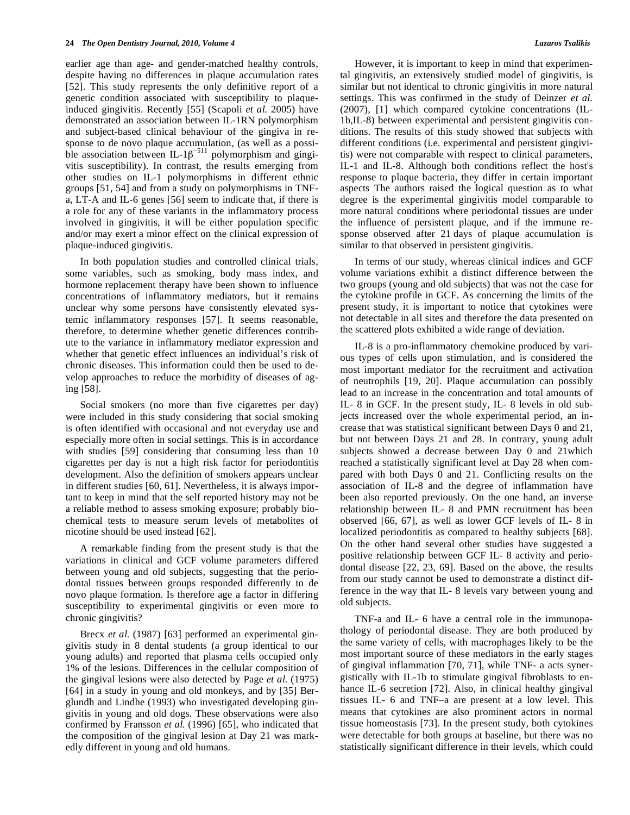earlier age than age- and gender-matched healthy controls, despite having no differences in plaque accumulation rates [52]. This study represents the only definitive report of a genetic condition associated with susceptibility to plaqueinduced gingivitis. Recently [55] (Scapoli *et al.* 2005) have demonstrated an association between IL-1RN polymorphism and subject-based clinical behaviour of the gingiva in response to de novo plaque accumulation, (as well as a possible association between IL-1 $\beta$ <sup>-511</sup> polymorphism and gingivitis susceptibility). In contrast, the results emerging from other studies on IL-1 polymorphisms in different ethnic groups [51, 54] and from a study on polymorphisms in TNFa, LT-A and IL-6 genes [56] seem to indicate that, if there is a role for any of these variants in the inflammatory process involved in gingivitis, it will be either population specific and/or may exert a minor effect on the clinical expression of plaque-induced gingivitis.

In both population studies and controlled clinical trials, some variables, such as smoking, body mass index, and hormone replacement therapy have been shown to influence concentrations of inflammatory mediators, but it remains unclear why some persons have consistently elevated systemic inflammatory responses [57]. It seems reasonable, therefore, to determine whether genetic differences contribute to the variance in inflammatory mediator expression and whether that genetic effect influences an individual's risk of chronic diseases. This information could then be used to develop approaches to reduce the morbidity of diseases of aging [58].

Social smokers (no more than five cigarettes per day) were included in this study considering that social smoking is often identified with occasional and not everyday use and especially more often in social settings. This is in accordance with studies [59] considering that consuming less than 10 cigarettes per day is not a high risk factor for periodontitis development. Also the definition of smokers appears unclear in different studies [60, 61]. Nevertheless, it is always important to keep in mind that the self reported history may not be a reliable method to assess smoking exposure; probably biochemical tests to measure serum levels of metabolites of nicotine should be used instead [62].

A remarkable finding from the present study is that the variations in clinical and GCF volume parameters differed between young and old subjects, suggesting that the periodontal tissues between groups responded differently to de novo plaque formation. Is therefore age a factor in differing susceptibility to experimental gingivitis or even more to chronic gingivitis?

Brecx *et al.* (1987) [63] performed an experimental gingivitis study in 8 dental students (a group identical to our young adults) and reported that plasma cells occupied only 1% of the lesions. Differences in the cellular composition of the gingival lesions were also detected by Page *et al.* (1975) [64] in a study in young and old monkeys, and by [35] Berglundh and Lindhe (1993) who investigated developing gingivitis in young and old dogs. These observations were also confirmed by Fransson *et al.* (1996) [65], who indicated that the composition of the gingival lesion at Day 21 was markedly different in young and old humans.

However, it is important to keep in mind that experimental gingivitis, an extensively studied model of gingivitis, is similar but not identical to chronic gingivitis in more natural settings. This was confirmed in the study of Deinzer *et al.*  (2007), [1] which compared cytokine concentrations (IL-1b,IL-8) between experimental and persistent gingivitis conditions. The results of this study showed that subjects with different conditions (i.e. experimental and persistent gingivitis) were not comparable with respect to clinical parameters, IL-1 and IL-8. Although both conditions reflect the host's response to plaque bacteria, they differ in certain important aspects The authors raised the logical question as to what degree is the experimental gingivitis model comparable to more natural conditions where periodontal tissues are under the influence of persistent plaque, and if the immune response observed after 21 days of plaque accumulation is similar to that observed in persistent gingivitis.

In terms of our study, whereas clinical indices and GCF volume variations exhibit a distinct difference between the two groups (young and old subjects) that was not the case for the cytokine profile in GCF. As concerning the limits of the present study, it is important to notice that cytokines were not detectable in all sites and therefore the data presented on the scattered plots exhibited a wide range of deviation.

IL-8 is a pro-inflammatory chemokine produced by various types of cells upon stimulation, and is considered the most important mediator for the recruitment and activation of neutrophils [19, 20]. Plaque accumulation can possibly lead to an increase in the concentration and total amounts of IL- 8 in GCF. In the present study, IL- 8 levels in old subjects increased over the whole experimental period, an increase that was statistical significant between Days 0 and 21, but not between Days 21 and 28. In contrary, young adult subjects showed a decrease between Day 0 and 21which reached a statistically significant level at Day 28 when compared with both Days 0 and 21. Conflicting results on the association of IL-8 and the degree of inflammation have been also reported previously. On the one hand, an inverse relationship between IL- 8 and PMN recruitment has been observed [66, 67], as well as lower GCF levels of IL- 8 in localized periodontitis as compared to healthy subjects [68]. On the other hand several other studies have suggested a positive relationship between GCF IL- 8 activity and periodontal disease [22, 23, 69]. Based on the above, the results from our study cannot be used to demonstrate a distinct difference in the way that IL- 8 levels vary between young and old subjects.

TNF-a and IL- 6 have a central role in the immunopathology of periodontal disease. They are both produced by the same variety of cells, with macrophages likely to be the most important source of these mediators in the early stages of gingival inflammation [70, 71], while TNF- a acts synergistically with IL-1b to stimulate gingival fibroblasts to enhance IL-6 secretion [72]. Also, in clinical healthy gingival tissues IL- 6 and TNF–a are present at a low level. This means that cytokines are also prominent actors in normal tissue homeostasis [73]. In the present study, both cytokines were detectable for both groups at baseline, but there was no statistically significant difference in their levels, which could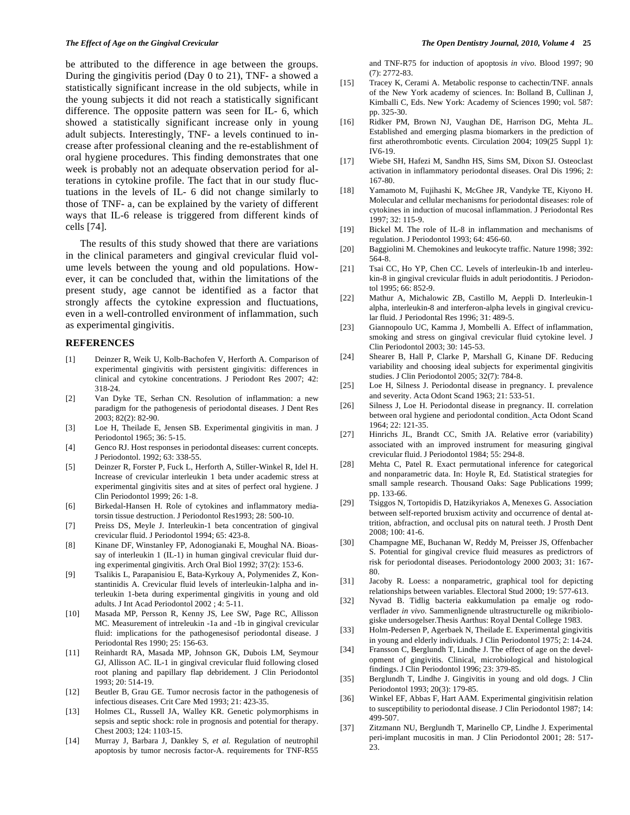be attributed to the difference in age between the groups. During the gingivitis period (Day 0 to 21), TNF- a showed a statistically significant increase in the old subjects, while in the young subjects it did not reach a statistically significant difference. The opposite pattern was seen for IL- 6, which showed a statistically significant increase only in young adult subjects. Interestingly, TNF- a levels continued to increase after professional cleaning and the re-establishment of oral hygiene procedures. This finding demonstrates that one week is probably not an adequate observation period for alterations in cytokine profile. The fact that in our study fluctuations in the levels of IL- 6 did not change similarly to those of TNF- a, can be explained by the variety of different ways that IL-6 release is triggered from different kinds of cells [74].

The results of this study showed that there are variations in the clinical parameters and gingival crevicular fluid volume levels between the young and old populations. However, it can be concluded that, within the limitations of the present study, age cannot be identified as a factor that strongly affects the cytokine expression and fluctuations, even in a well-controlled environment of inflammation, such as experimental gingivitis.

## **REFERENCES**

- [1] Deinzer R, Weik U, Kolb-Bachofen V, Herforth A. Comparison of experimental gingivitis with persistent gingivitis: differences in clinical and cytokine concentrations. J Periodont Res 2007; 42: 318-24.
- [2] Van Dyke TE, Serhan CN. Resolution of inflammation: a new paradigm for the pathogenesis of periodontal diseases. J Dent Res 2003; 82(2): 82-90.
- [3] Loe H, Theilade E, Jensen SB. Experimental gingivitis in man. J Periodontol 1965; 36: 5-15.
- [4] Genco RJ. Host responses in periodontal diseases: current concepts. J Periodontol. 1992; 63: 338-55.
- [5] Deinzer R, Forster P, Fuck L, Herforth A, Stiller-Winkel R, Idel H. Increase of crevicular interleukin 1 beta under academic stress at experimental gingivitis sites and at sites of perfect oral hygiene. J Clin Periodontol 1999; 26: 1-8.
- [6] Birkedal-Hansen H. Role of cytokines and inflammatory mediatorsin tissue destruction. J Periodontol Res1993; 28: 500-10.
- [7] Preiss DS, Meyle J. Interleukin-1 beta concentration of gingival crevicular fluid. J Periodontol 1994; 65: 423-8.
- [8] Kinane DF, Winstanley FP, Adonogianaki E, Moughal NA. Bioassay of interleukin 1 (IL-1) in human gingival crevicular fluid during experimental gingivitis. Arch Oral Biol 1992; 37(2): 153-6.
- [9] Tsalikis L, Parapanisiou E, Bata-Kyrkouy A, Polymenides Z, Konstantinidis A. Crevicular fluid levels of interleukin-1alpha and interleukin 1-beta during experimental gingivitis in young and old adults. J Int Acad Periodontol 2002 ; 4: 5-11.
- [10] Masada MP, Persson R, Kenny JS, Lee SW, Page RC, Allisson MC. Measurement of intreleukin -1a and -1b in gingival crevicular fluid: implications for the pathogenesisof periodontal disease. J Periodontal Res 1990; 25: 156-63.
- [11] Reinhardt RA, Masada MP, Johnson GK, Dubois LM, Seymour GJ, Allisson AC. IL-1 in gingival crevicular fluid following closed root planing and papillary flap debridement. J Clin Periodontol 1993; 20: 514-19.
- [12] Beutler B, Grau GE. Tumor necrosis factor in the pathogenesis of infectious diseases. Crit Care Med 1993; 21: 423-35.
- [13] Holmes CL, Russell JA, Walley KR. Genetic polymorphisms in sepsis and septic shock: role in prognosis and potential for therapy. Chest 2003; 124: 1103-15.
- [14] Murray J, Barbara J, Dankley S, *et al.* Regulation of neutrophil apoptosis by tumor necrosis factor-A. requirements for TNF-R55

and TNF-R75 for induction of apoptosis *in vivo.* Blood 1997; 90 (7): 2772-83.

- [15] Tracey K, Cerami A. Metabolic response to cachectin/TNF. annals of the New York academy of sciences. In: Bolland B, Cullinan J, Kimballi C, Eds. New York: Academy of Sciences 1990; vol. 587: pp. 325-30.
- [16] Ridker PM, Brown NJ, Vaughan DE, Harrison DG, Mehta JL. Established and emerging plasma biomarkers in the prediction of first atherothrombotic events. Circulation 2004; 109(25 Suppl 1): IV6-19.
- [17] Wiebe SH, Hafezi M, Sandhn HS, Sims SM, Dixon SJ. Osteoclast activation in inflammatory periodontal diseases. Oral Dis 1996; 2: 167-80.
- [18] Yamamoto M, Fujihashi K, McGhee JR, Vandyke TE, Kiyono H. Molecular and cellular mechanisms for periodontal diseases: role of cytokines in induction of mucosal inflammation. J Periodontal Res 1997; 32: 115-9.
- [19] Bickel M. The role of IL-8 in inflammation and mechanisms of regulation. J Periodontol 1993; 64: 456-60.
- [20] Baggiolini M. Chemokines and leukocyte traffic. Nature 1998; 392: 564-8.
- [21] Tsai CC, Ho YP, Chen CC. Levels of interleukin-1b and interleukin-8 in gingival crevicular fluids in adult periodontitis. J Periodontol 1995; 66: 852-9.
- [22] Mathur A, Michalowic ZB, Castillo M, Aeppli D. Interleukin-1 alpha, interleukin-8 and interferon-alpha levels in gingival crevicular fluid. J Periodontal Res 1996; 31: 489-5.
- [23] Giannopoulo UC, Kamma J, Mombelli A. Effect of inflammation, smoking and stress on gingival crevicular fluid cytokine level. J Clin Periodontol 2003; 30: 145-53.
- [24] Shearer B, Hall P, Clarke P, Marshall G, Kinane DF. Reducing variability and choosing ideal subjects for experimental gingivitis studies. J Clin Periodontol 2005; 32(7): 784-8.
- [25] Loe H, Silness J. Periodontal disease in pregnancy. I. prevalence and severity. Acta Odont Scand 1963; 21: 533-51.
- [26] Silness J, Loe H. Periodontal disease in pregnancy. II. correlation between oral hygiene and periodontal condition. Acta Odont Scand 1964; 22: 121-35.
- [27] Hinrichs JL, Brandt CC, Smith JA. Relative error (variability) associated with an improved instrument for measuring gingival crevicular fluid. J Periodontol 1984; 55: 294-8.
- [28] Mehta C, Patel R. Exact permutational inference for categorical and nonparametric data. In: Hoyle R, Ed. Statistical strategies for small sample research. Thousand Oaks: Sage Publications 1999; pp. 133-66.
- [29] Tsiggos N, Tortopidis D, Hatzikyriakos A, Menexes G. Association between self-reported bruxism activity and occurrence of dental attrition, abfraction, and occlusal pits on natural teeth. J Prosth Dent 2008; 100: 41-6.
- [30] Champagne ME, Buchanan W, Reddy M, Preisser JS, Offenbacher S. Potential for gingival crevice fluid measures as predictrors of risk for periodontal diseases. Periodontology 2000 2003; 31: 167- 80.
- [31] Jacoby R. Loess: a nonparametric, graphical tool for depicting relationships between variables. Electoral Stud 2000; 19: 577-613.
- [32] Nyvad B. Tidlig bacteria eakkumulation pa emalje og rodoverflader *in vivo.* Sammenlignende ultrastructurelle og mikribiologiske undersogelser.Thesis Aarthus: Royal Dental College 1983.
- [33] Holm-Pedersen P, Agerbaek N, Theilade E. Experimental gingivitis in young and elderly individuals. J Clin Periodontol 1975; 2: 14-24.
- [34] Fransson C, Berglundh T, Lindhe J. The effect of age on the development of gingivitis. Clinical, microbiological and histological findings. J Clin Periodontol 1996; 23: 379-85.
- [35] Berglundh T, Lindhe J. Gingivitis in young and old dogs. J Clin Periodontol 1993; 20(3): 179-85.
- [36] Winkel EF, Abbas F, Hart AAM. Experimental gingivitisin relation to susceptibility to periodontal disease. J Clin Periodontol 1987; 14: 499-507.
- [37] Zitzmann NU, Berglundh T, Marinello CP, Lindhe J. Experimental peri-implant mucositis in man. J Clin Periodontol 2001; 28: 517- 23.